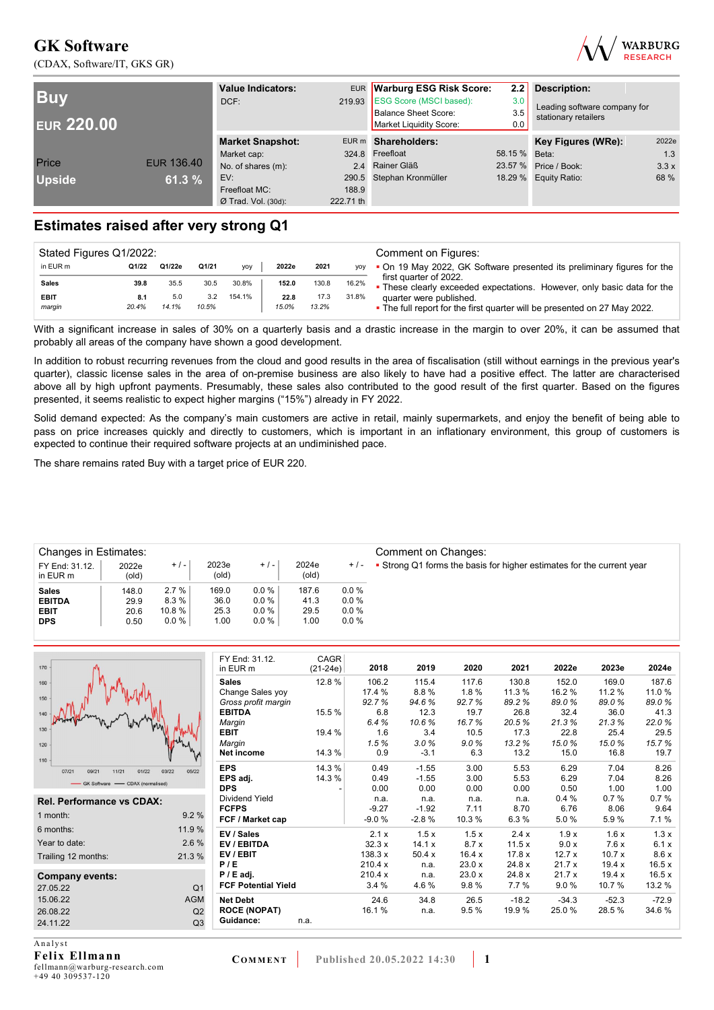(CDAX, Software/IT, GKS GR)



| <b>Buv</b><br><b>EUR 220.00</b> |            | <b>Value Indicators:</b><br>DCF: |           | EUR Warburg ESG Risk Score:<br>219.93 ESG Score (MSCI based):<br>Balance Sheet Score:<br>Market Liquidity Score: | 2.2<br>3.0<br>3.5<br>0.0 | <b>Description:</b><br>Leading software company for<br>stationary retailers |       |  |
|---------------------------------|------------|----------------------------------|-----------|------------------------------------------------------------------------------------------------------------------|--------------------------|-----------------------------------------------------------------------------|-------|--|
|                                 |            | <b>Market Snapshot:</b>          |           | EUR m Shareholders:                                                                                              |                          | Key Figures (WRe):                                                          | 2022e |  |
|                                 |            | Market cap:                      |           | 324.8 Freefloat                                                                                                  | 58.15 % Beta:            |                                                                             | 1.3   |  |
| Price                           | EUR 136.40 | No. of shares (m):               |           | 2.4 Rainer Gläß                                                                                                  | 23.57 %                  | Price / Book:                                                               | 3.3x  |  |
| <b>Upside</b>                   | 61.3 %     | EV:                              |           | 290.5 Stephan Kronmüller                                                                                         |                          | 18.29 % Equity Ratio:                                                       | 68 %  |  |
|                                 |            | Freefloat MC:                    | 188.9     |                                                                                                                  |                          |                                                                             |       |  |
|                                 |            | $Ø$ Trad. Vol. (30d):            | 222.71 th |                                                                                                                  |                          |                                                                             |       |  |

## **Estimates raised after very strong Q1**

| Stated Figures Q1/2022: |       |        |       |            |       |       |            | Comment on Figures:                                                                               |
|-------------------------|-------|--------|-------|------------|-------|-------|------------|---------------------------------------------------------------------------------------------------|
| in EUR m                | Q1/22 | Q1/22e | Q1/21 | <b>VOV</b> | 2022e | 2021  | <b>VOV</b> | • On 19 May 2022, GK Software presented its preliminary figures for the                           |
| Sales                   | 39.8  | 35.5   | 30.5  | 30.8%      | 152.0 | 130.8 | 16.2%      | first quarter of 2022.<br>• These clearly exceeded expectations. However, only basic data for the |
| <b>EBIT</b>             | 8.1   | 5.0    | 3.2   | 154.1%     | 22.8  | 17.3  | 31.8%      | quarter were published.                                                                           |
| margin                  | 20.4% | 14.1%  | 10.5% |            | 15.0% | 13.2% |            | • The full report for the first quarter will be presented on 27 May 2022.                         |

With a significant increase in sales of 30% on a quarterly basis and a drastic increase in the margin to over 20%, it can be assumed that probably all areas of the company have shown a good development.

In addition to robust recurring revenues from the cloud and good results in the area of fiscalisation (still without earnings in the previous year's quarter), classic license sales in the area of on-premise business are also likely to have had a positive effect. The latter are characterised above all by high upfront payments. Presumably, these sales also contributed to the good result of the first quarter. Based on the figures presented, it seems realistic to expect higher margins ("15%") already in FY 2022.

Solid demand expected: As the company's main customers are active in retail, mainly supermarkets, and enjoy the benefit of being able to pass on price increases quickly and directly to customers, which is important in an inflationary environment, this group of customers is expected to continue their required software projects at an undiminished pace.

The share remains rated Buy with a target price of EUR 220.

| <b>Changes in Estimates:</b> |                |          |                |         |                |         | Comment on Changes:                                                   |
|------------------------------|----------------|----------|----------------|---------|----------------|---------|-----------------------------------------------------------------------|
| FY End: 31.12.<br>in EUR m   | 2022e<br>(old) | $+/-$    | 2023e<br>(old) | $+/-$   | 2024e<br>(old) | $+$ / - | • Strong Q1 forms the basis for higher estimates for the current year |
| <b>Sales</b>                 | 148.0          | 2.7%     | 169.0          | 0.0%    | 187.6          | 0.0%    |                                                                       |
| <b>EBITDA</b>                | 29.9           | 8.3%     | 36.0           | $0.0\%$ | 41.3           | 0.0%    |                                                                       |
| <b>EBIT</b>                  | 20.6           | 10.8%    | 25.3           | $0.0\%$ | 29.5           | 0.0%    |                                                                       |
| <b>DPS</b>                   | 0.50           | $0.0 \%$ | 1.00           | 0.0%    | 1.00           | $0.0\%$ |                                                                       |
|                              |                |          |                |         |                |         |                                                                       |

| 170                                       |                | FY End: 31.12.<br>in EUR m       | CAGR<br>$(21-24e)$ | 2018            | 2019          | 2020          | 2021            | 2022e          | 2023e           | 2024e          |
|-------------------------------------------|----------------|----------------------------------|--------------------|-----------------|---------------|---------------|-----------------|----------------|-----------------|----------------|
| 160                                       |                | <b>Sales</b><br>Change Sales yoy | 12.8%              | 106.2<br>17.4 % | 115.4<br>8.8% | 117.6<br>1.8% | 130.8<br>11.3 % | 152.0<br>16.2% | 169.0<br>11.2 % | 187.6<br>11.0% |
| 150                                       |                | Gross profit margin              |                    | 92.7%           | 94.6%         | 92.7%         | 89.2%           | 89.0%          | 89.0%           | 89.0%          |
| 140                                       |                | <b>EBITDA</b>                    | 15.5 %             | 6.8             | 12.3          | 19.7          | 26.8            | 32.4           | 36.0            | 41.3           |
|                                           |                | Margin                           |                    | 6.4%            | 10.6%         | 16.7%         | 20.5%           | 21.3%          | 21.3%           | 22.0%          |
| 130                                       |                | <b>EBIT</b>                      | 19.4 %             | 1.6             | 3.4           | 10.5          | 17.3            | 22.8           | 25.4            | 29.5           |
| 120                                       |                | Margin                           |                    | 1.5%            | 3.0%          | 9.0%          | 13.2%           | 15.0%          | 15.0%           | 15.7%          |
| 110                                       |                | Net income                       | 14.3 %             | 0.9             | $-3.1$        | 6.3           | 13.2            | 15.0           | 16.8            | 19.7           |
| 03/22<br>09/21<br>01/22<br>07/21<br>11/21 | 05/22          | <b>EPS</b>                       | 14.3%              | 0.49            | $-1.55$       | 3.00          | 5.53            | 6.29           | 7.04            | 8.26           |
| GK Software - CDAX (normalised)           |                | EPS adj.                         | 14.3 %             | 0.49            | $-1.55$       | 3.00          | 5.53            | 6.29           | 7.04            | 8.26           |
|                                           |                | <b>DPS</b>                       |                    | 0.00            | 0.00          | 0.00          | 0.00            | 0.50           | 1.00            | 1.00           |
| <b>Rel. Performance vs CDAX:</b>          |                | Dividend Yield                   |                    | n.a.            | n.a.          | n.a.          | n.a.            | 0.4%           | 0.7%            | 0.7%           |
|                                           | 9.2%           | <b>FCFPS</b>                     |                    | $-9.27$         | $-1.92$       | 7.11          | 8.70            | 6.76           | 8.06            | 9.64           |
| 1 month:                                  |                | FCF / Market cap                 |                    | $-9.0%$         | $-2.8%$       | 10.3%         | 6.3%            | 5.0%           | 5.9%            | 7.1%           |
| 6 months:                                 | 11.9 %         | EV / Sales                       |                    | 2.1x            | 1.5x          | 1.5x          | 2.4x            | 1.9x           | 1.6x            | 1.3x           |
| Year to date:                             | 2.6 %          | EV / EBITDA                      |                    | 32.3x           | 14.1 x        | 8.7x          | 11.5x           | 9.0 x          | 7.6x            | 6.1 x          |
| Trailing 12 months:                       | 21.3%          | EV/EBIT                          |                    | 138.3 x         | 50.4x         | 16.4x         | 17.8x           | 12.7x          | 10.7x           | 8.6x           |
|                                           |                | P/E                              |                    | 210.4 x         | n.a.          | 23.0x         | 24.8 x          | 21.7x          | 19.4 x          | 16.5x          |
| Company events:                           |                | $P / E$ adj.                     |                    | 210.4 x         | n.a.          | 23.0x         | 24.8 x          | 21.7x          | 19.4 x          | 16.5x          |
| 27.05.22                                  | Q <sub>1</sub> | <b>FCF Potential Yield</b>       |                    | 3.4%            | 4.6%          | 9.8%          | 7.7%            | 9.0%           | 10.7%           | 13.2 %         |
| 15.06.22                                  | <b>AGM</b>     | <b>Net Debt</b>                  |                    | 24.6            | 34.8          | 26.5          | $-18.2$         | $-34.3$        | $-52.3$         | $-72.9$        |
| 26.08.22                                  | Q2             | <b>ROCE (NOPAT)</b>              |                    | 16.1%           | n.a.          | 9.5%          | 19.9%           | 25.0%          | 28.5%           | 34.6%          |
| 24.11.22                                  | Q <sub>3</sub> | Guidance:                        | n.a.               |                 |               |               |                 |                |                 |                |
| Analyst                                   |                |                                  |                    |                 |               |               |                 |                |                 |                |

**Felix Ellmann**  fellmann@warburg-research.com +49 40 309537-120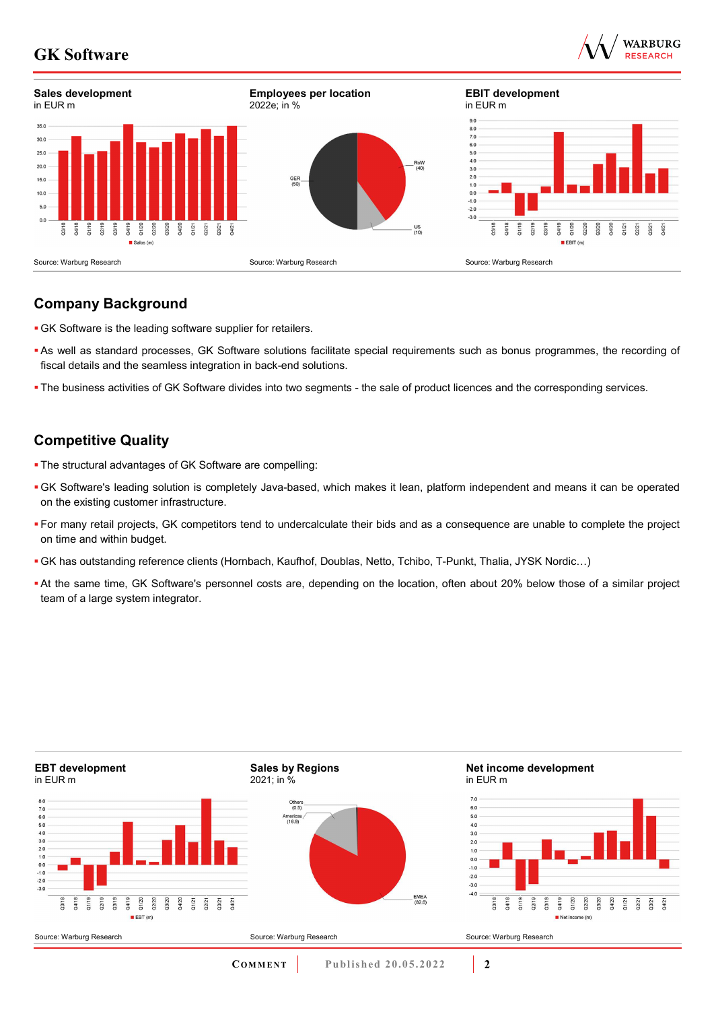



## **Company Background**

- GK Software is the leading software supplier for retailers.
- As well as standard processes, GK Software solutions facilitate special requirements such as bonus programmes, the recording of fiscal details and the seamless integration in back-end solutions.
- The business activities of GK Software divides into two segments the sale of product licences and the corresponding services.

## **Competitive Quality**

- The structural advantages of GK Software are compelling:
- GK Software's leading solution is completely Java-based, which makes it lean, platform independent and means it can be operated on the existing customer infrastructure.
- For many retail projects, GK competitors tend to undercalculate their bids and as a consequence are unable to complete the project on time and within budget.
- GK has outstanding reference clients (Hornbach, Kaufhof, Doublas, Netto, Tchibo, T-Punkt, Thalia, JYSK Nordic…)
- At the same time, GK Software's personnel costs are, depending on the location, often about 20% below those of a similar project team of a large system integrator.

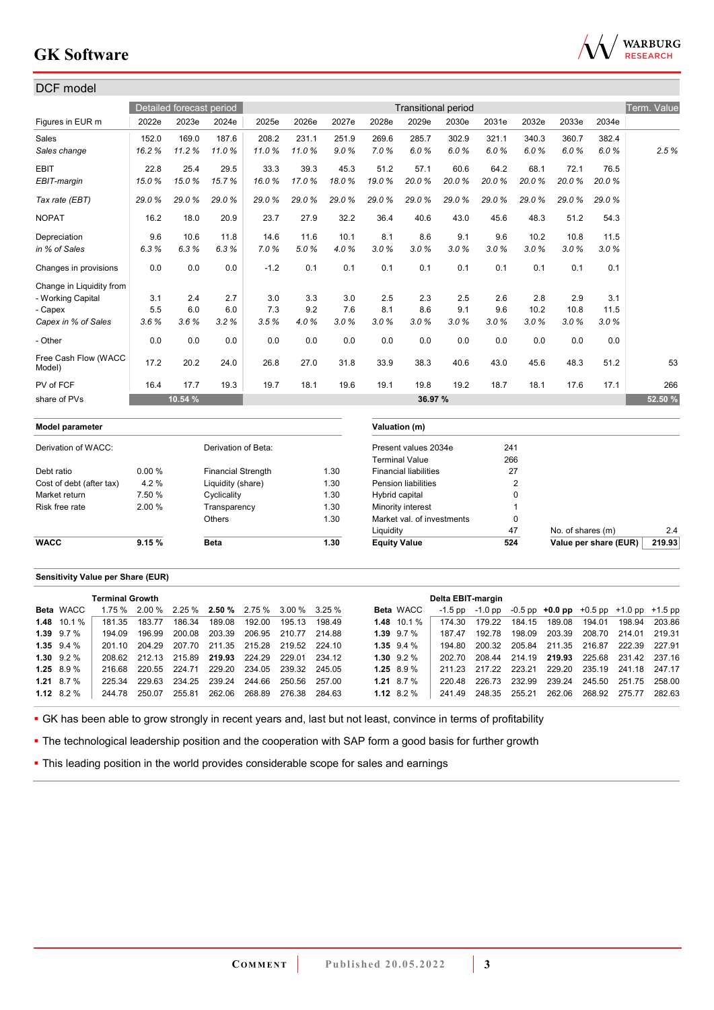

| DCF model                      |        |                          |                           |        |       |       |                     |                              |                            |       |                |                   |                       |             |
|--------------------------------|--------|--------------------------|---------------------------|--------|-------|-------|---------------------|------------------------------|----------------------------|-------|----------------|-------------------|-----------------------|-------------|
|                                |        |                          |                           |        |       |       |                     |                              |                            |       |                |                   |                       |             |
|                                |        | Detailed forecast period |                           |        |       |       |                     |                              | <b>Transitional period</b> |       |                |                   |                       | Term. Value |
| Figures in EUR m               | 2022e  | 2023e                    | 2024e                     | 2025e  | 2026e | 2027e | 2028e               | 2029e                        | 2030e                      | 2031e | 2032e          | 2033e             | 2034e                 |             |
| Sales                          | 152.0  | 169.0                    | 187.6                     | 208.2  | 231.1 | 251.9 | 269.6               | 285.7                        | 302.9                      | 321.1 | 340.3          | 360.7             | 382.4                 |             |
| Sales change                   | 16.2%  | 11.2%                    | 11.0%                     | 11.0%  | 11.0% | 9.0%  | 7.0%                | 6.0%                         | 6.0%                       | 6.0%  | 6.0%           | 6.0%              | 6.0%                  | 2.5%        |
| <b>EBIT</b>                    | 22.8   | 25.4                     | 29.5                      | 33.3   | 39.3  | 45.3  | 51.2                | 57.1                         | 60.6                       | 64.2  | 68.1           | 72.1              | 76.5                  |             |
| EBIT-margin                    | 15.0%  | 15.0%                    | 15.7%                     | 16.0%  | 17.0% | 18.0% | 19.0%               | 20.0%                        | 20.0%                      | 20.0% | 20.0%          | 20.0%             | 20.0%                 |             |
| Tax rate (EBT)                 | 29.0%  | 29.0%                    | 29.0%                     | 29.0%  | 29.0% | 29.0% | 29.0%               | 29.0%                        | 29.0%                      | 29.0% | 29.0%          | 29.0%             | 29.0%                 |             |
| <b>NOPAT</b>                   | 16.2   | 18.0                     | 20.9                      | 23.7   | 27.9  | 32.2  | 36.4                | 40.6                         | 43.0                       | 45.6  | 48.3           | 51.2              | 54.3                  |             |
| Depreciation                   | 9.6    | 10.6                     | 11.8                      | 14.6   | 11.6  | 10.1  | 8.1                 | 8.6                          | 9.1                        | 9.6   | 10.2           | 10.8              | 11.5                  |             |
| in % of Sales                  | 6.3%   | 6.3%                     | 6.3%                      | 7.0%   | 5.0%  | 4.0%  | 3.0%                | 3.0%                         | 3.0%                       | 3.0%  | 3.0%           | 3.0%              | 3.0%                  |             |
| Changes in provisions          | 0.0    | 0.0                      | 0.0                       | $-1.2$ | 0.1   | 0.1   | 0.1                 | 0.1                          | 0.1                        | 0.1   | 0.1            | 0.1               | 0.1                   |             |
| Change in Liquidity from       |        |                          |                           |        |       |       |                     |                              |                            |       |                |                   |                       |             |
| - Working Capital              | 3.1    | 2.4                      | 2.7                       | 3.0    | 3.3   | 3.0   | 2.5                 | 2.3                          | 2.5                        | 2.6   | 2.8            | 2.9               | 3.1                   |             |
| - Capex                        | 5.5    | 6.0                      | 6.0                       | 7.3    | 9.2   | 7.6   | 8.1                 | 8.6                          | 9.1                        | 9.6   | 10.2           | 10.8              | 11.5                  |             |
| Capex in % of Sales            | 3.6%   | 3.6%                     | 3.2%                      | 3.5%   | 4.0%  | 3.0%  | 3.0%                | 3.0%                         | 3.0%                       | 3.0%  | 3.0%           | 3.0%              | 3.0%                  |             |
| - Other                        | 0.0    | 0.0                      | 0.0                       | 0.0    | 0.0   | 0.0   | 0.0                 | 0.0                          | 0.0                        | 0.0   | 0.0            | 0.0               | 0.0                   |             |
| Free Cash Flow (WACC<br>Model) | 17.2   | 20.2                     | 24.0                      | 26.8   | 27.0  | 31.8  | 33.9                | 38.3                         | 40.6                       | 43.0  | 45.6           | 48.3              | 51.2                  | 53          |
| PV of FCF                      | 16.4   | 17.7                     | 19.3                      | 19.7   | 18.1  | 19.6  | 19.1                | 19.8                         | 19.2                       | 18.7  | 18.1           | 17.6              | 17.1                  | 266         |
| share of PVs                   |        | 10.54 %                  |                           |        |       |       |                     | 36.97 %                      |                            |       |                |                   |                       | 52.50 %     |
| Model parameter                |        |                          |                           |        |       |       |                     | Valuation (m)                |                            |       |                |                   |                       |             |
| Derivation of WACC:            |        |                          | Derivation of Beta:       |        |       |       |                     | Present values 2034e         |                            | 241   |                |                   |                       |             |
|                                |        |                          |                           |        |       |       |                     | <b>Terminal Value</b>        |                            | 266   |                |                   |                       |             |
| Debt ratio                     | 0.00%  |                          | <b>Financial Strength</b> |        |       | 1.30  |                     | <b>Financial liabilities</b> |                            |       | 27             |                   |                       |             |
| Cost of debt (after tax)       | 4.2%   |                          | Liquidity (share)         |        |       | 1.30  |                     | <b>Pension liabilities</b>   |                            |       | $\overline{2}$ |                   |                       |             |
| Market return                  | 7.50 % |                          | Cyclicality               |        |       | 1.30  | Hybrid capital      |                              |                            |       | $\Omega$       |                   |                       |             |
| Risk free rate                 | 2.00 % |                          | Transparency              |        |       | 1.30  |                     | Minority interest            |                            |       | 1              |                   |                       |             |
|                                |        |                          | Others                    |        |       | 1.30  |                     | Market val. of investments   |                            |       | 0              |                   |                       |             |
|                                |        |                          |                           |        |       |       | Liquidity           |                              |                            |       | 47             | No. of shares (m) |                       | 2.4         |
| <b>WACC</b>                    | 9.15%  |                          | <b>Beta</b>               |        |       | 1.30  | <b>Equity Value</b> |                              |                            | 524   |                |                   | Value per share (EUR) | 219.93      |

#### **Sensitivity Value per Share (EUR)**

|                   | <b>Terminal Growth</b> |        |                                                    |               |                      |        |        |                |                  | Delta EBIT-margin |        |        |                                                             |        |                             |        |
|-------------------|------------------------|--------|----------------------------------------------------|---------------|----------------------|--------|--------|----------------|------------------|-------------------|--------|--------|-------------------------------------------------------------|--------|-----------------------------|--------|
| <b>Beta</b> WACC  |                        |        | $1.75\%$ 2.00 % 2.25 % 2.50 % 2.75 % 3.00 % 3.25 % |               |                      |        |        |                | <b>Beta WACC</b> | -1.5 pp           |        |        | $-1.0$ pp $-0.5$ pp $+0.0$ pp $+0.5$ pp $+1.0$ pp $+1.5$ pp |        |                             |        |
| $1.48$ 10.1 %     | 181 35                 | 183 77 | 186.34                                             | 189.08        | 192.00               | 195.13 | 19849  |                | $1.48$ 10.1 %    | 174 30            | 179.22 | 184.15 | 189.08                                                      | 194.01 | 198.94                      | 203.86 |
| $1.39$ $9.7\%$    | 194.09                 | 196.99 | 200.08                                             |               | 203.39 206.95 210.77 |        | 214.88 |                | $1.39$ $9.7\%$   | 187.47            | 192.78 | 198.09 | 203.39                                                      |        | 208.70 214.01 219.31        |        |
| $1.35$ $9.4\%$    | 201 10                 | 204.29 | 207.70 211.35 215.28 219.52                        |               |                      |        | 224 10 |                | $1.35$ $9.4%$    | 194 80            | 200.32 |        | 205.84 211.35 216.87 222.39 227.91                          |        |                             |        |
| $1.30\quad 9.2\%$ | 208.62                 |        | 212.13 215.89                                      | 219.93 224.29 |                      | 229.01 | 234 12 | $1.30$ $9.2\%$ |                  | 202.70            | 208.44 |        | 214.19 219.93 225.68 231.42 237.16                          |        |                             |        |
| $1.25$ 8.9 %      | 216.68                 | 220.55 | 224.71                                             |               | 229.20 234.05 239.32 |        | 245 05 | $1.25$ 8.9 %   |                  | 211 23            | 217 22 | 223.21 |                                                             |        | 229.20 235.19 241.18 247.17 |        |
| 1.21 $8.7\%$      | 225.34                 | 229.63 | 234.25 239.24 244.66 250.56                        |               |                      |        | 257.00 |                | 1.21 8.7 $%$     | 220.48            | 226.73 | 232.99 | 239.24 245.50 251.75 258.00                                 |        |                             |        |
| 1.12 $8.2\%$      | 244.78                 | 250.07 | 255.81                                             |               | 262.06 268.89        | 276.38 | 284.63 | 1.12 $8.2\%$   |                  | 241.49            | 248.35 | 255.21 |                                                             |        | 262.06 268.92 275.77        | 282.63 |

GK has been able to grow strongly in recent years and, last but not least, convince in terms of profitability

• The technological leadership position and the cooperation with SAP form a good basis for further growth

**- This leading position in the world provides considerable scope for sales and earnings**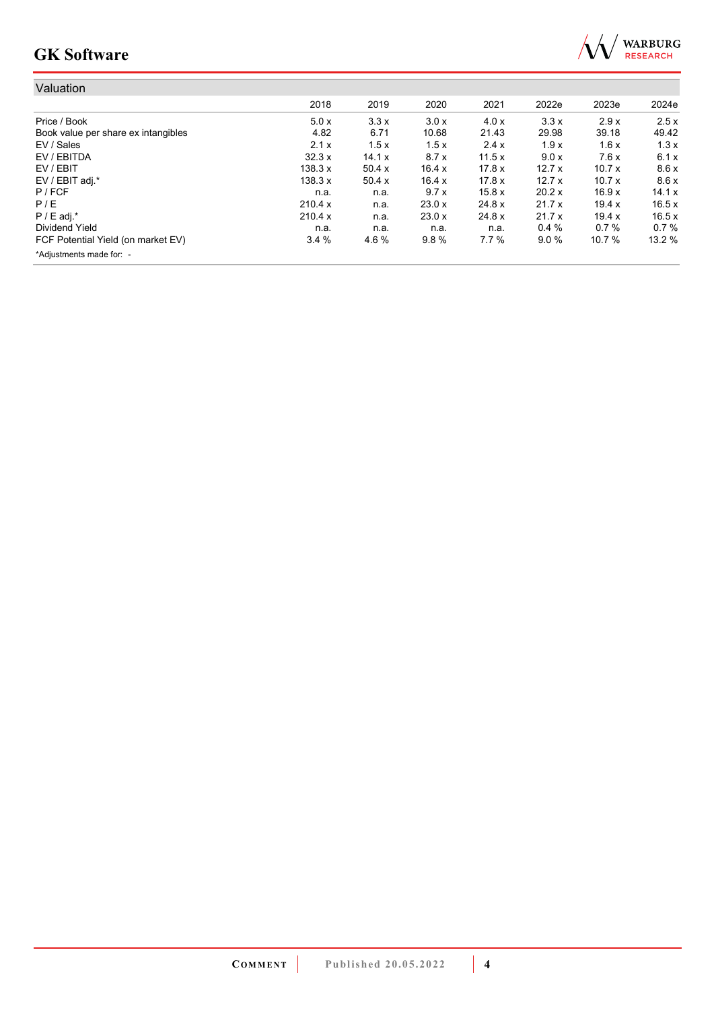

| Valuation                           |         |        |        |        |        |        |        |
|-------------------------------------|---------|--------|--------|--------|--------|--------|--------|
|                                     | 2018    | 2019   | 2020   | 2021   | 2022e  | 2023e  | 2024e  |
| Price / Book                        | 5.0x    | 3.3x   | 3.0x   | 4.0 x  | 3.3x   | 2.9x   | 2.5x   |
| Book value per share ex intangibles | 4.82    | 6.71   | 10.68  | 21.43  | 29.98  | 39.18  | 49.42  |
| EV / Sales                          | 2.1x    | 1.5x   | 1.5x   | 2.4x   | 1.9x   | 1.6x   | 1.3x   |
| EV / EBITDA                         | 32.3x   | 14.1 x | 8.7x   | 11.5x  | 9.0 x  | 7.6x   | 6.1x   |
| EV / EBIT                           | 138.3 x | 50.4 x | 16.4x  | 17.8 x | 12.7x  | 10.7x  | 8.6x   |
| EV / EBIT adj.*                     | 138.3 x | 50.4x  | 16.4x  | 17.8 x | 12.7x  | 10.7x  | 8.6x   |
| $P$ / FCF                           | n.a.    | n.a.   | 9.7x   | 15.8x  | 20.2 x | 16.9x  | 14.1 x |
| P/E                                 | 210.4 x | n.a.   | 23.0 x | 24.8 x | 21.7x  | 19.4 x | 16.5x  |
| $P / E$ adj.*                       | 210.4 x | n.a.   | 23.0 x | 24.8 x | 21.7x  | 19.4 x | 16.5x  |
| Dividend Yield                      | n.a.    | n.a.   | n.a.   | n.a.   | 0.4%   | 0.7%   | 0.7%   |
| FCF Potential Yield (on market EV)  | 3.4%    | 4.6%   | 9.8%   | 7.7%   | 9.0%   | 10.7 % | 13.2 % |
| *Adjustments made for: -            |         |        |        |        |        |        |        |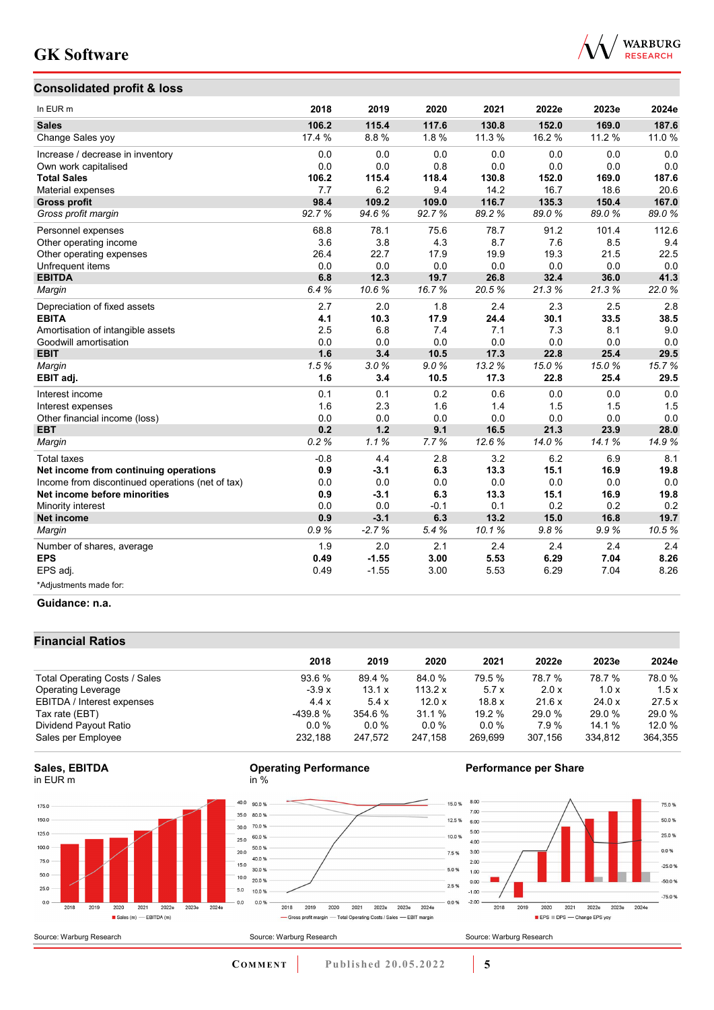## **Consolidated profit & loss**



| In EUR m                                         | 2018   | 2019    | 2020   | 2021   | 2022e  | 2023e  | 2024e |
|--------------------------------------------------|--------|---------|--------|--------|--------|--------|-------|
| <b>Sales</b>                                     | 106.2  | 115.4   | 117.6  | 130.8  | 152.0  | 169.0  | 187.6 |
| Change Sales yoy                                 | 17.4 % | 8.8%    | 1.8%   | 11.3 % | 16.2 % | 11.2 % | 11.0% |
| Increase / decrease in inventory                 | 0.0    | 0.0     | 0.0    | 0.0    | 0.0    | 0.0    | 0.0   |
| Own work capitalised                             | 0.0    | 0.0     | 0.8    | 0.0    | 0.0    | 0.0    | 0.0   |
| <b>Total Sales</b>                               | 106.2  | 115.4   | 118.4  | 130.8  | 152.0  | 169.0  | 187.6 |
| Material expenses                                | 7.7    | 6.2     | 9.4    | 14.2   | 16.7   | 18.6   | 20.6  |
| <b>Gross profit</b>                              | 98.4   | 109.2   | 109.0  | 116.7  | 135.3  | 150.4  | 167.0 |
| Gross profit margin                              | 92.7%  | 94.6%   | 92.7%  | 89.2%  | 89.0%  | 89.0%  | 89.0% |
| Personnel expenses                               | 68.8   | 78.1    | 75.6   | 78.7   | 91.2   | 101.4  | 112.6 |
| Other operating income                           | 3.6    | 3.8     | 4.3    | 8.7    | 7.6    | 8.5    | 9.4   |
| Other operating expenses                         | 26.4   | 22.7    | 17.9   | 19.9   | 19.3   | 21.5   | 22.5  |
| Unfrequent items                                 | 0.0    | 0.0     | 0.0    | 0.0    | 0.0    | 0.0    | 0.0   |
| <b>EBITDA</b>                                    | 6.8    | 12.3    | 19.7   | 26.8   | 32.4   | 36.0   | 41.3  |
| Margin                                           | 6.4%   | 10.6%   | 16.7%  | 20.5%  | 21.3%  | 21.3%  | 22.0% |
| Depreciation of fixed assets                     | 2.7    | 2.0     | 1.8    | 2.4    | 2.3    | 2.5    | 2.8   |
| <b>EBITA</b>                                     | 4.1    | 10.3    | 17.9   | 24.4   | 30.1   | 33.5   | 38.5  |
| Amortisation of intangible assets                | 2.5    | 6.8     | 7.4    | 7.1    | 7.3    | 8.1    | 9.0   |
| Goodwill amortisation                            | 0.0    | 0.0     | 0.0    | 0.0    | 0.0    | 0.0    | 0.0   |
| <b>EBIT</b>                                      | 1.6    | 3.4     | 10.5   | 17.3   | 22.8   | 25.4   | 29.5  |
| Margin                                           | 1.5%   | 3.0%    | 9.0%   | 13.2%  | 15.0%  | 15.0%  | 15.7% |
| EBIT adj.                                        | 1.6    | 3.4     | 10.5   | 17.3   | 22.8   | 25.4   | 29.5  |
| Interest income                                  | 0.1    | 0.1     | 0.2    | 0.6    | 0.0    | 0.0    | 0.0   |
| Interest expenses                                | 1.6    | 2.3     | 1.6    | 1.4    | 1.5    | 1.5    | 1.5   |
| Other financial income (loss)                    | 0.0    | 0.0     | 0.0    | 0.0    | 0.0    | 0.0    | 0.0   |
| <b>EBT</b>                                       | 0.2    | 1.2     | 9.1    | 16.5   | 21.3   | 23.9   | 28.0  |
| Margin                                           | 0.2%   | 1.1%    | 7.7%   | 12.6%  | 14.0%  | 14.1%  | 14.9% |
| <b>Total taxes</b>                               | $-0.8$ | 4.4     | 2.8    | 3.2    | 6.2    | 6.9    | 8.1   |
| Net income from continuing operations            | 0.9    | $-3.1$  | 6.3    | 13.3   | 15.1   | 16.9   | 19.8  |
| Income from discontinued operations (net of tax) | 0.0    | 0.0     | 0.0    | 0.0    | 0.0    | 0.0    | 0.0   |
| Net income before minorities                     | 0.9    | $-3.1$  | 6.3    | 13.3   | 15.1   | 16.9   | 19.8  |
| Minority interest                                | 0.0    | 0.0     | $-0.1$ | 0.1    | 0.2    | 0.2    | 0.2   |
| <b>Net income</b>                                | 0.9    | $-3.1$  | 6.3    | 13.2   | 15.0   | 16.8   | 19.7  |
| Margin                                           | 0.9%   | $-2.7%$ | 5.4%   | 10.1%  | 9.8%   | 9.9%   | 10.5% |
| Number of shares, average                        | 1.9    | 2.0     | 2.1    | 2.4    | 2.4    | 2.4    | 2.4   |
| <b>EPS</b>                                       | 0.49   | $-1.55$ | 3.00   | 5.53   | 6.29   | 7.04   | 8.26  |
| EPS adj.                                         | 0.49   | $-1.55$ | 3.00   | 5.53   | 6.29   | 7.04   | 8.26  |
| *Adjustments made for:                           |        |         |        |        |        |        |       |

#### **Guidance: n.a.**

### **Financial Ratios**

|                               | 2018     | 2019     | 2020      | 2021    | 2022e   | 2023e   | 2024e   |
|-------------------------------|----------|----------|-----------|---------|---------|---------|---------|
| Total Operating Costs / Sales | 93.6 %   | 89.4 %   | 84.0 %    | 79.5 %  | 78.7 %  | 78.7 %  | 78.0 %  |
| <b>Operating Leverage</b>     | $-3.9x$  | 13.1 x   | 113.2 $x$ | 5.7x    | 2.0 x   | 1.0x    | 1.5x    |
| EBITDA / Interest expenses    | 4.4x     | 5.4x     | 12.0x     | 18.8x   | 21.6 x  | 24.0 x  | 27.5x   |
| Tax rate (EBT)                | -439.8 % | 354.6%   | 31.1 %    | 19.2%   | 29.0 %  | 29.0 %  | 29.0 %  |
| Dividend Payout Ratio         | $0.0\%$  | $0.0 \%$ | $0.0\%$   | $0.0\%$ | 7.9%    | 14.1 %  | 12.0 %  |
| Sales per Employee            | 232.188  | 247.572  | 247.158   | 269.699 | 307.156 | 334,812 | 364,355 |

### **Sales, EBITDA** in EUR m







### **Performance per Share**



Source: Warburg Research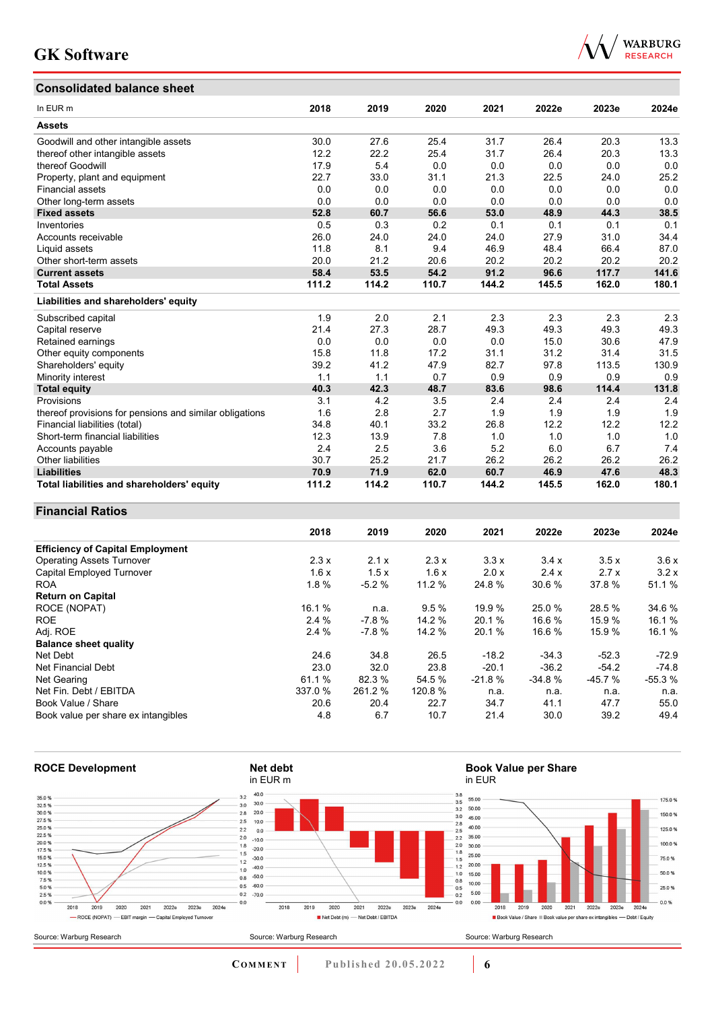## **Consolidated balance sheet**



| Consolidated balance sheet                              |       |       |       |       |       |       |       |
|---------------------------------------------------------|-------|-------|-------|-------|-------|-------|-------|
| In EUR <sub>m</sub>                                     | 2018  | 2019  | 2020  | 2021  | 2022e | 2023e | 2024e |
| <b>Assets</b>                                           |       |       |       |       |       |       |       |
| Goodwill and other intangible assets                    | 30.0  | 27.6  | 25.4  | 31.7  | 26.4  | 20.3  | 13.3  |
| thereof other intangible assets                         | 12.2  | 22.2  | 25.4  | 31.7  | 26.4  | 20.3  | 13.3  |
| thereof Goodwill                                        | 17.9  | 5.4   | 0.0   | 0.0   | 0.0   | 0.0   | 0.0   |
| Property, plant and equipment                           | 22.7  | 33.0  | 31.1  | 21.3  | 22.5  | 24.0  | 25.2  |
| <b>Financial assets</b>                                 | 0.0   | 0.0   | 0.0   | 0.0   | 0.0   | 0.0   | 0.0   |
| Other long-term assets                                  | 0.0   | 0.0   | 0.0   | 0.0   | 0.0   | 0.0   | 0.0   |
| <b>Fixed assets</b>                                     | 52.8  | 60.7  | 56.6  | 53.0  | 48.9  | 44.3  | 38.5  |
| Inventories                                             | 0.5   | 0.3   | 0.2   | 0.1   | 0.1   | 0.1   | 0.1   |
| Accounts receivable                                     | 26.0  | 24.0  | 24.0  | 24.0  | 27.9  | 31.0  | 34.4  |
| Liquid assets                                           | 11.8  | 8.1   | 9.4   | 46.9  | 48.4  | 66.4  | 87.0  |
| Other short-term assets                                 | 20.0  | 21.2  | 20.6  | 20.2  | 20.2  | 20.2  | 20.2  |
| <b>Current assets</b>                                   | 58.4  | 53.5  | 54.2  | 91.2  | 96.6  | 117.7 | 141.6 |
| <b>Total Assets</b>                                     | 111.2 | 114.2 | 110.7 | 144.2 | 145.5 | 162.0 | 180.1 |
| Liabilities and shareholders' equity                    |       |       |       |       |       |       |       |
| Subscribed capital                                      | 1.9   | 2.0   | 2.1   | 2.3   | 2.3   | 2.3   | 2.3   |
| Capital reserve                                         | 21.4  | 27.3  | 28.7  | 49.3  | 49.3  | 49.3  | 49.3  |
| Retained earnings                                       | 0.0   | 0.0   | 0.0   | 0.0   | 15.0  | 30.6  | 47.9  |
| Other equity components                                 | 15.8  | 11.8  | 17.2  | 31.1  | 31.2  | 31.4  | 31.5  |
| Shareholders' equity                                    | 39.2  | 41.2  | 47.9  | 82.7  | 97.8  | 113.5 | 130.9 |
| Minority interest                                       | 1.1   | 1.1   | 0.7   | 0.9   | 0.9   | 0.9   | 0.9   |
| <b>Total equity</b>                                     | 40.3  | 42.3  | 48.7  | 83.6  | 98.6  | 114.4 | 131.8 |
| Provisions                                              | 3.1   | 4.2   | 3.5   | 2.4   | 2.4   | 2.4   | 2.4   |
| thereof provisions for pensions and similar obligations | 1.6   | 2.8   | 2.7   | 1.9   | 1.9   | 1.9   | 1.9   |
| Financial liabilities (total)                           | 34.8  | 40.1  | 33.2  | 26.8  | 12.2  | 12.2  | 12.2  |
| Short-term financial liabilities                        | 12.3  | 13.9  | 7.8   | 1.0   | 1.0   | 1.0   | 1.0   |
| Accounts payable                                        | 2.4   | 2.5   | 3.6   | 5.2   | 6.0   | 6.7   | 7.4   |
| Other liabilities                                       | 30.7  | 25.2  | 21.7  | 26.2  | 26.2  | 26.2  | 26.2  |
| <b>Liabilities</b>                                      | 70.9  | 71.9  | 62.0  | 60.7  | 46.9  | 47.6  | 48.3  |
| Total liabilities and shareholders' equity              | 111.2 | 114.2 | 110.7 | 144.2 | 145.5 | 162.0 | 180.1 |

### **Financial Ratios**

|                                         | 2018    | 2019    | 2020    | 2021     | 2022e    | 2023e    | 2024e    |
|-----------------------------------------|---------|---------|---------|----------|----------|----------|----------|
| <b>Efficiency of Capital Employment</b> |         |         |         |          |          |          |          |
| <b>Operating Assets Turnover</b>        | 2.3x    | 2.1x    | 2.3x    | 3.3x     | 3.4x     | 3.5x     | 3.6x     |
| Capital Employed Turnover               | 1.6x    | 1.5x    | 1.6x    | 2.0 x    | 2.4x     | 2.7x     | 3.2x     |
| <b>ROA</b>                              | 1.8%    | $-5.2%$ | 11.2 %  | 24.8 %   | 30.6 %   | 37.8%    | 51.1 %   |
| <b>Return on Capital</b>                |         |         |         |          |          |          |          |
| ROCE (NOPAT)                            | 16.1 %  | n.a.    | 9.5%    | 19.9 %   | 25.0 %   | 28.5 %   | 34.6 %   |
| <b>ROE</b>                              | 2.4%    | $-7.8%$ | 14.2%   | 20.1 %   | 16.6 %   | 15.9%    | 16.1 %   |
| Adj. ROE                                | 2.4%    | $-7.8%$ | 14.2 %  | 20.1 %   | 16.6 %   | 15.9%    | 16.1 %   |
| <b>Balance sheet quality</b>            |         |         |         |          |          |          |          |
| Net Debt                                | 24.6    | 34.8    | 26.5    | $-18.2$  | $-34.3$  | $-52.3$  | $-72.9$  |
| Net Financial Debt                      | 23.0    | 32.0    | 23.8    | $-20.1$  | $-36.2$  | $-54.2$  | $-74.8$  |
| Net Gearing                             | 61.1 %  | 82.3 %  | 54.5 %  | $-21.8%$ | $-34.8%$ | $-45.7%$ | $-55.3%$ |
| Net Fin. Debt / EBITDA                  | 337.0 % | 261.2 % | 120.8 % | n.a.     | n.a.     | n.a.     | n.a.     |
| Book Value / Share                      | 20.6    | 20.4    | 22.7    | 34.7     | 41.1     | 47.7     | 55.0     |
| Book value per share ex intangibles     | 4.8     | 6.7     | 10.7    | 21.4     | 30.0     | 39.2     | 49.4     |

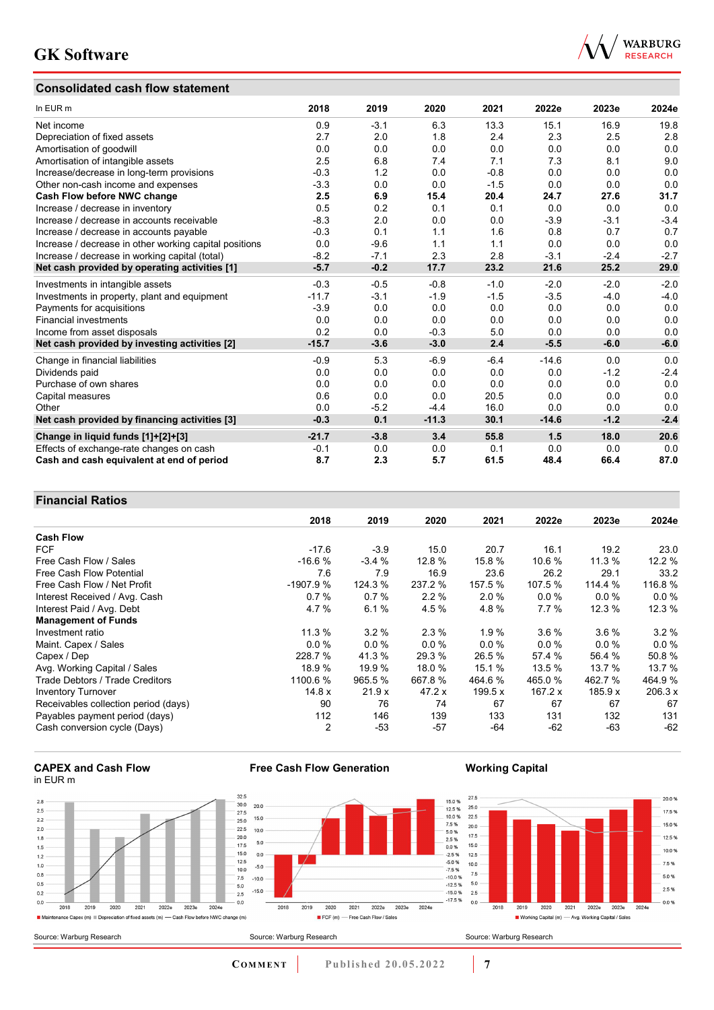## **Consolidated cash flow statement**



| In EUR m                                               | 2018    | 2019   | 2020    | 2021   | 2022e   | 2023e  | 2024e  |
|--------------------------------------------------------|---------|--------|---------|--------|---------|--------|--------|
| Net income                                             | 0.9     | $-3.1$ | 6.3     | 13.3   | 15.1    | 16.9   | 19.8   |
| Depreciation of fixed assets                           | 2.7     | 2.0    | 1.8     | 2.4    | 2.3     | 2.5    | 2.8    |
| Amortisation of goodwill                               | 0.0     | 0.0    | 0.0     | 0.0    | 0.0     | 0.0    | 0.0    |
| Amortisation of intangible assets                      | 2.5     | 6.8    | 7.4     | 7.1    | 7.3     | 8.1    | 9.0    |
| Increase/decrease in long-term provisions              | $-0.3$  | 1.2    | 0.0     | $-0.8$ | 0.0     | 0.0    | 0.0    |
| Other non-cash income and expenses                     | $-3.3$  | 0.0    | 0.0     | $-1.5$ | 0.0     | 0.0    | 0.0    |
| Cash Flow before NWC change                            | 2.5     | 6.9    | 15.4    | 20.4   | 24.7    | 27.6   | 31.7   |
| Increase / decrease in inventory                       | 0.5     | 0.2    | 0.1     | 0.1    | 0.0     | 0.0    | 0.0    |
| Increase / decrease in accounts receivable             | $-8.3$  | 2.0    | 0.0     | 0.0    | $-3.9$  | $-3.1$ | $-3.4$ |
| Increase / decrease in accounts payable                | $-0.3$  | 0.1    | 1.1     | 1.6    | 0.8     | 0.7    | 0.7    |
| Increase / decrease in other working capital positions | 0.0     | $-9.6$ | 1.1     | 1.1    | 0.0     | 0.0    | 0.0    |
| Increase / decrease in working capital (total)         | $-8.2$  | $-7.1$ | 2.3     | 2.8    | $-3.1$  | $-2.4$ | $-2.7$ |
| Net cash provided by operating activities [1]          | $-5.7$  | $-0.2$ | 17.7    | 23.2   | 21.6    | 25.2   | 29.0   |
| Investments in intangible assets                       | $-0.3$  | $-0.5$ | $-0.8$  | $-1.0$ | $-2.0$  | $-2.0$ | $-2.0$ |
| Investments in property, plant and equipment           | $-11.7$ | $-3.1$ | $-1.9$  | $-1.5$ | $-3.5$  | $-4.0$ | $-4.0$ |
| Payments for acquisitions                              | $-3.9$  | 0.0    | 0.0     | 0.0    | 0.0     | 0.0    | 0.0    |
| <b>Financial investments</b>                           | 0.0     | 0.0    | 0.0     | 0.0    | 0.0     | 0.0    | 0.0    |
| Income from asset disposals                            | 0.2     | 0.0    | $-0.3$  | 5.0    | 0.0     | 0.0    | 0.0    |
| Net cash provided by investing activities [2]          | $-15.7$ | $-3.6$ | $-3.0$  | 2.4    | $-5.5$  | $-6.0$ | $-6.0$ |
| Change in financial liabilities                        | $-0.9$  | 5.3    | $-6.9$  | $-6.4$ | $-14.6$ | 0.0    | 0.0    |
| Dividends paid                                         | 0.0     | 0.0    | 0.0     | 0.0    | 0.0     | $-1.2$ | $-2.4$ |
| Purchase of own shares                                 | 0.0     | 0.0    | 0.0     | 0.0    | 0.0     | 0.0    | 0.0    |
| Capital measures                                       | 0.6     | 0.0    | 0.0     | 20.5   | 0.0     | 0.0    | 0.0    |
| Other                                                  | 0.0     | $-5.2$ | $-4.4$  | 16.0   | 0.0     | 0.0    | 0.0    |
| Net cash provided by financing activities [3]          | $-0.3$  | 0.1    | $-11.3$ | 30.1   | $-14.6$ | $-1.2$ | $-2.4$ |
| Change in liquid funds [1]+[2]+[3]                     | $-21.7$ | $-3.8$ | 3.4     | 55.8   | 1.5     | 18.0   | 20.6   |
| Effects of exchange-rate changes on cash               | $-0.1$  | 0.0    | 0.0     | 0.1    | 0.0     | 0.0    | 0.0    |
| Cash and cash equivalent at end of period              | 8.7     | 2.3    | 5.7     | 61.5   | 48.4    | 66.4   | 87.0   |

### **Financial Ratios**

|                                      | 2018           | 2019    | 2020    | 2021    | 2022e   | 2023e    | 2024e   |
|--------------------------------------|----------------|---------|---------|---------|---------|----------|---------|
| <b>Cash Flow</b>                     |                |         |         |         |         |          |         |
| <b>FCF</b>                           | $-17.6$        | $-3.9$  | 15.0    | 20.7    | 16.1    | 19.2     | 23.0    |
| Free Cash Flow / Sales               | $-16.6%$       | $-3.4%$ | 12.8 %  | 15.8 %  | 10.6 %  | 11.3 %   | 12.2 %  |
| Free Cash Flow Potential             | 7.6            | 7.9     | 16.9    | 23.6    | 26.2    | 29.1     | 33.2    |
| Free Cash Flow / Net Profit          | $-1907.9%$     | 124.3 % | 237.2 % | 157.5 % | 107.5 % | 114.4 %  | 116.8%  |
| Interest Received / Avg. Cash        | 0.7%           | 0.7%    | 2.2%    | 2.0%    | $0.0\%$ | $0.0 \%$ | 0.0%    |
| Interest Paid / Avg. Debt            | 4.7%           | 6.1%    | 4.5 %   | 4.8%    | 7.7%    | 12.3 %   | 12.3%   |
| <b>Management of Funds</b>           |                |         |         |         |         |          |         |
| Investment ratio                     | 11.3%          | 3.2%    | 2.3%    | 1.9%    | $3.6\%$ | $3.6\%$  | $3.2\%$ |
| Maint. Capex / Sales                 | 0.0%           | $0.0\%$ | $0.0\%$ | 0.0%    | $0.0\%$ | $0.0\%$  | 0.0%    |
| Capex / Dep                          | 228.7 %        | 41.3 %  | 29.3 %  | 26.5 %  | 57.4 %  | 56.4 %   | 50.8%   |
| Avg. Working Capital / Sales         | 18.9 %         | 19.9 %  | 18.0 %  | 15.1 %  | 13.5 %  | 13.7 %   | 13.7 %  |
| Trade Debtors / Trade Creditors      | 1100.6 %       | 965.5 % | 667.8 % | 464.6 % | 465.0 % | 462.7 %  | 464.9%  |
| <b>Inventory Turnover</b>            | 14.8x          | 21.9x   | 47.2x   | 199.5 x | 167.2 x | 185.9 x  | 206.3 x |
| Receivables collection period (days) | 90             | 76      | 74      | 67      | 67      | 67       | 67      |
| Payables payment period (days)       | 112            | 146     | 139     | 133     | 131     | 132      | 131     |
| Cash conversion cycle (Days)         | $\overline{2}$ | $-53$   | $-57$   | -64     | $-62$   | -63      | $-62$   |



 $2.8$ 

 $2.5$ 

 $\frac{1}{2.2}$ 

 $\overline{2.0}$ 

 $1.8$ 

 $1.5$ 

 $1.2$ 

 $1.0$ 

 $0.8$ 

 $0.5$ 

 $0.2$ 

 $0.0$ 



**Free Cash Flow Generation**

### **Working Capital**



**COMMENT** Published 20.05.2022 **7**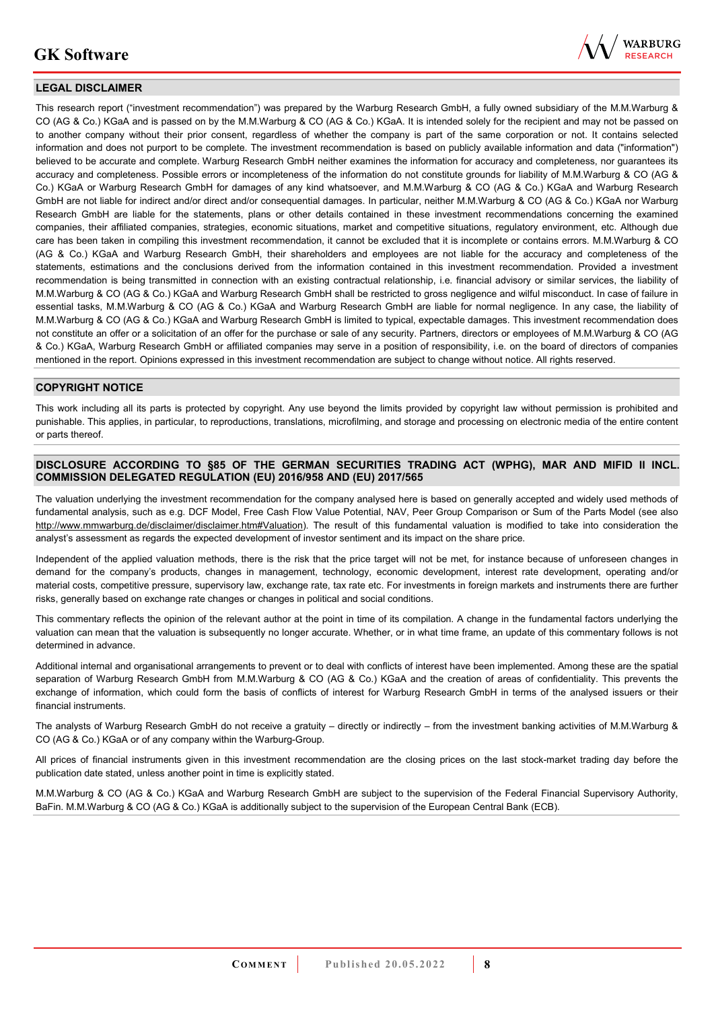

### **LEGAL DISCLAIMER**

This research report ("investment recommendation") was prepared by the Warburg Research GmbH, a fully owned subsidiary of the M.M.Warburg & CO (AG & Co.) KGaA and is passed on by the M.M.Warburg & CO (AG & Co.) KGaA. It is intended solely for the recipient and may not be passed on to another company without their prior consent, regardless of whether the company is part of the same corporation or not. It contains selected information and does not purport to be complete. The investment recommendation is based on publicly available information and data ("information") believed to be accurate and complete. Warburg Research GmbH neither examines the information for accuracy and completeness, nor guarantees its accuracy and completeness. Possible errors or incompleteness of the information do not constitute grounds for liability of M.M.Warburg & CO (AG & Co.) KGaA or Warburg Research GmbH for damages of any kind whatsoever, and M.M.Warburg & CO (AG & Co.) KGaA and Warburg Research GmbH are not liable for indirect and/or direct and/or consequential damages. In particular, neither M.M.Warburg & CO (AG & Co.) KGaA nor Warburg Research GmbH are liable for the statements, plans or other details contained in these investment recommendations concerning the examined companies, their affiliated companies, strategies, economic situations, market and competitive situations, regulatory environment, etc. Although due care has been taken in compiling this investment recommendation, it cannot be excluded that it is incomplete or contains errors. M.M.Warburg & CO (AG & Co.) KGaA and Warburg Research GmbH, their shareholders and employees are not liable for the accuracy and completeness of the statements, estimations and the conclusions derived from the information contained in this investment recommendation. Provided a investment recommendation is being transmitted in connection with an existing contractual relationship, i.e. financial advisory or similar services, the liability of M.M.Warburg & CO (AG & Co.) KGaA and Warburg Research GmbH shall be restricted to gross negligence and wilful misconduct. In case of failure in essential tasks, M.M.Warburg & CO (AG & Co.) KGaA and Warburg Research GmbH are liable for normal negligence. In any case, the liability of M.M.Warburg & CO (AG & Co.) KGaA and Warburg Research GmbH is limited to typical, expectable damages. This investment recommendation does not constitute an offer or a solicitation of an offer for the purchase or sale of any security. Partners, directors or employees of M.M.Warburg & CO (AG & Co.) KGaA, Warburg Research GmbH or affiliated companies may serve in a position of responsibility, i.e. on the board of directors of companies mentioned in the report. Opinions expressed in this investment recommendation are subject to change without notice. All rights reserved.

#### **COPYRIGHT NOTICE**

This work including all its parts is protected by copyright. Any use beyond the limits provided by copyright law without permission is prohibited and punishable. This applies, in particular, to reproductions, translations, microfilming, and storage and processing on electronic media of the entire content or parts thereof.

#### **DISCLOSURE ACCORDING TO §85 OF THE GERMAN SECURITIES TRADING ACT (WPHG), MAR AND MIFID II INCL. COMMISSION DELEGATED REGULATION (EU) 2016/958 AND (EU) 2017/565**

The valuation underlying the investment recommendation for the company analysed here is based on generally accepted and widely used methods of fundamental analysis, such as e.g. DCF Model, Free Cash Flow Value Potential, NAV, Peer Group Comparison or Sum of the Parts Model (see also [http://www.mmwarburg.de/disclaimer/disclaimer.htm#Valuation\)](http://www.mmwarburg.de/disclaimer/disclaimer.htm#Valuation). The result of this fundamental valuation is modified to take into consideration the analyst's assessment as regards the expected development of investor sentiment and its impact on the share price.

Independent of the applied valuation methods, there is the risk that the price target will not be met, for instance because of unforeseen changes in demand for the company's products, changes in management, technology, economic development, interest rate development, operating and/or material costs, competitive pressure, supervisory law, exchange rate, tax rate etc. For investments in foreign markets and instruments there are further risks, generally based on exchange rate changes or changes in political and social conditions.

This commentary reflects the opinion of the relevant author at the point in time of its compilation. A change in the fundamental factors underlying the valuation can mean that the valuation is subsequently no longer accurate. Whether, or in what time frame, an update of this commentary follows is not determined in advance.

Additional internal and organisational arrangements to prevent or to deal with conflicts of interest have been implemented. Among these are the spatial separation of Warburg Research GmbH from M.M.Warburg & CO (AG & Co.) KGaA and the creation of areas of confidentiality. This prevents the exchange of information, which could form the basis of conflicts of interest for Warburg Research GmbH in terms of the analysed issuers or their financial instruments.

The analysts of Warburg Research GmbH do not receive a gratuity – directly or indirectly – from the investment banking activities of M.M.Warburg & CO (AG & Co.) KGaA or of any company within the Warburg-Group.

All prices of financial instruments given in this investment recommendation are the closing prices on the last stock-market trading day before the publication date stated, unless another point in time is explicitly stated.

M.M.Warburg & CO (AG & Co.) KGaA and Warburg Research GmbH are subject to the supervision of the Federal Financial Supervisory Authority, BaFin. M.M.Warburg & CO (AG & Co.) KGaA is additionally subject to the supervision of the European Central Bank (ECB).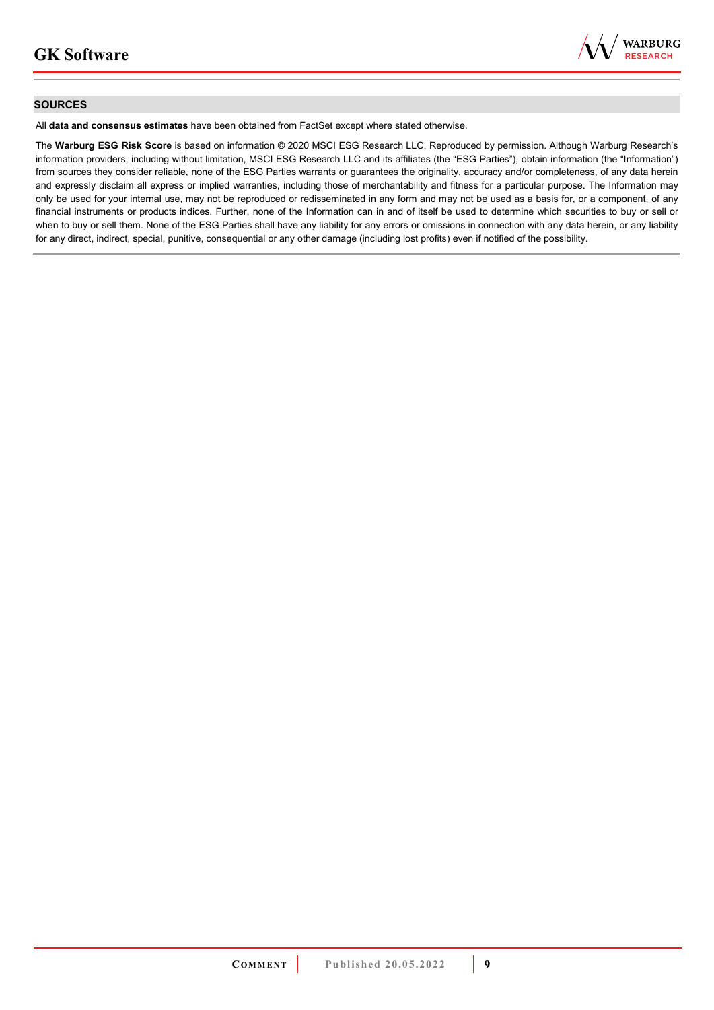

#### **SOURCES**

All **data and consensus estimates** have been obtained from FactSet except where stated otherwise.

The **Warburg ESG Risk Score** is based on information © 2020 MSCI ESG Research LLC. Reproduced by permission. Although Warburg Research's information providers, including without limitation, MSCI ESG Research LLC and its affiliates (the "ESG Parties"), obtain information (the "Information") from sources they consider reliable, none of the ESG Parties warrants or guarantees the originality, accuracy and/or completeness, of any data herein and expressly disclaim all express or implied warranties, including those of merchantability and fitness for a particular purpose. The Information may only be used for your internal use, may not be reproduced or redisseminated in any form and may not be used as a basis for, or a component, of any financial instruments or products indices. Further, none of the Information can in and of itself be used to determine which securities to buy or sell or when to buy or sell them. None of the ESG Parties shall have any liability for any errors or omissions in connection with any data herein, or any liability for any direct, indirect, special, punitive, consequential or any other damage (including lost profits) even if notified of the possibility.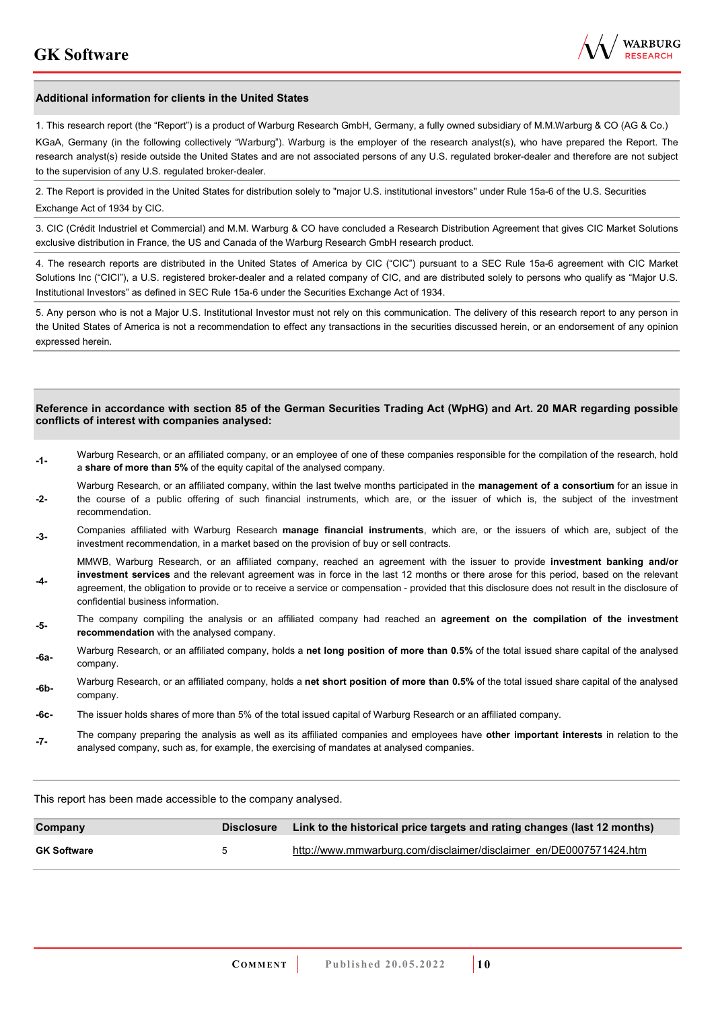

#### **Additional information for clients in the United States**

1. This research report (the "Report") is a product of Warburg Research GmbH, Germany, a fully owned subsidiary of M.M.Warburg & CO (AG & Co.)

KGaA, Germany (in the following collectively "Warburg"). Warburg is the employer of the research analyst(s), who have prepared the Report. The research analyst(s) reside outside the United States and are not associated persons of any U.S. regulated broker-dealer and therefore are not subject to the supervision of any U.S. regulated broker-dealer.

2. The Report is provided in the United States for distribution solely to "major U.S. institutional investors" under Rule 15a-6 of the U.S. Securities Exchange Act of 1934 by CIC.

3. CIC (Crédit Industriel et Commercial) and M.M. Warburg & CO have concluded a Research Distribution Agreement that gives CIC Market Solutions exclusive distribution in France, the US and Canada of the Warburg Research GmbH research product.

4. The research reports are distributed in the United States of America by CIC ("CIC") pursuant to a SEC Rule 15a-6 agreement with CIC Market Solutions Inc ("CICI"), a U.S. registered broker-dealer and a related company of CIC, and are distributed solely to persons who qualify as "Major U.S. Institutional Investors" as defined in SEC Rule 15a-6 under the Securities Exchange Act of 1934.

5. Any person who is not a Major U.S. Institutional Investor must not rely on this communication. The delivery of this research report to any person in the United States of America is not a recommendation to effect any transactions in the securities discussed herein, or an endorsement of any opinion expressed herein.

#### **Reference in accordance with section 85 of the German Securities Trading Act (WpHG) and Art. 20 MAR regarding possible conflicts of interest with companies analysed:**

- **-1-** Warburg Research, or an affiliated company, or an employee of one of these companies responsible for the compilation of the research, hold a **share of more than 5%** of the equity capital of the analysed company.
- **-2-**  Warburg Research, or an affiliated company, within the last twelve months participated in the **management of a consortium** for an issue in the course of a public offering of such financial instruments, which are, or the issuer of which is, the subject of the investment recommendation.
- **-3-** Companies affiliated with Warburg Research **manage financial instruments**, which are, or the issuers of which are, subject of the investment recommendation, in a market based on the provision of buy or sell contracts.

MMWB, Warburg Research, or an affiliated company, reached an agreement with the issuer to provide **investment banking and/or investment services** and the relevant agreement was in force in the last 12 months or there arose for this period, based on the relevant

- **-4**  agreement, the obligation to provide or to receive a service or compensation - provided that this disclosure does not result in the disclosure of confidential business information.
- **-5-** The company compiling the analysis or an affiliated company had reached an **agreement on the compilation of the investment recommendation** with the analysed company.
- **-6a-** Warburg Research, or an affiliated company, holds a **net long position of more than 0.5%** of the total issued share capital of the analysed company.
- **-6b-** Warburg Research, or an affiliated company, holds a **net short position of more than 0.5%** of the total issued share capital of the analysed company.
- **-6c-** The issuer holds shares of more than 5% of the total issued capital of Warburg Research or an affiliated company.
- **-7-** The company preparing the analysis as well as its affiliated companies and employees have **other important interests** in relation to the analysed company, such as, for example, the exercising of mandates at analysed companies.

This report has been made accessible to the company analysed.

| Company            | <b>Disclosure</b>    | Link to the historical price targets and rating changes (last 12 months) |
|--------------------|----------------------|--------------------------------------------------------------------------|
| <b>GK Software</b> | $\ddot{\phantom{1}}$ | http://www.mmwarburg.com/disclaimer/disclaimer_en/DE0007571424.htm       |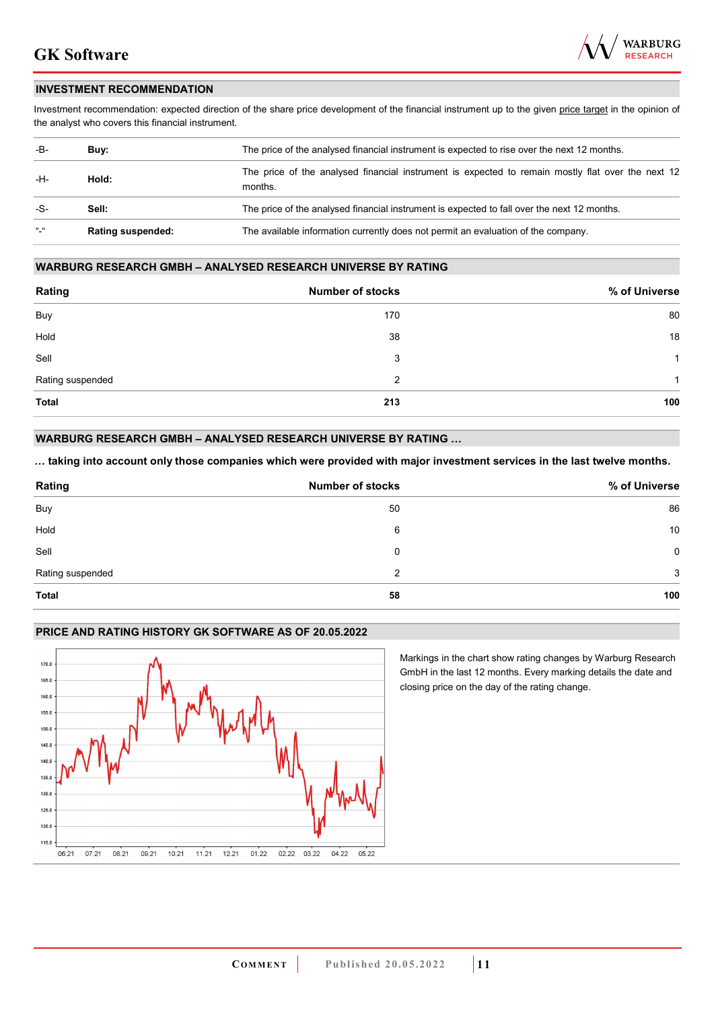

### **INVESTMENT RECOMMENDATION**

Investment recommendation: expected direction of the share price development of the financial instrument up to the given price target in the opinion of the analyst who covers this financial instrument.

| -B-             | Buy:                     | The price of the analysed financial instrument is expected to rise over the next 12 months.                  |  |  |
|-----------------|--------------------------|--------------------------------------------------------------------------------------------------------------|--|--|
| -H-             | Hold:                    | The price of the analysed financial instrument is expected to remain mostly flat over the next 12<br>months. |  |  |
| -S-             | Sell:                    | The price of the analysed financial instrument is expected to fall over the next 12 months.                  |  |  |
| $\frac{16}{16}$ | <b>Rating suspended:</b> | The available information currently does not permit an evaluation of the company.                            |  |  |

#### **WARBURG RESEARCH GMBH – ANALYSED RESEARCH UNIVERSE BY RATING**

| Rating           | <b>Number of stocks</b> | % of Universe |
|------------------|-------------------------|---------------|
| Buy              | 170                     | 80            |
| Hold             | 38                      | 18            |
| Sell             | 3                       | 1             |
| Rating suspended | 2                       | 1             |
| <b>Total</b>     | 213                     | 100           |

### **WARBURG RESEARCH GMBH – ANALYSED RESEARCH UNIVERSE BY RATING …**

**… taking into account only those companies which were provided with major investment services in the last twelve months.** 

| Rating           | <b>Number of stocks</b> | % of Universe |
|------------------|-------------------------|---------------|
| Buy              | 50                      | 86            |
| Hold             | 6                       | 10            |
| Sell             | 0                       | 0             |
| Rating suspended | 2                       | 3             |
| <b>Total</b>     | 58                      | 100           |

#### **PRICE AND RATING HISTORY GK SOFTWARE AS OF 20.05.2022**



Markings in the chart show rating changes by Warburg Research GmbH in the last 12 months. Every marking details the date and closing price on the day of the rating change.